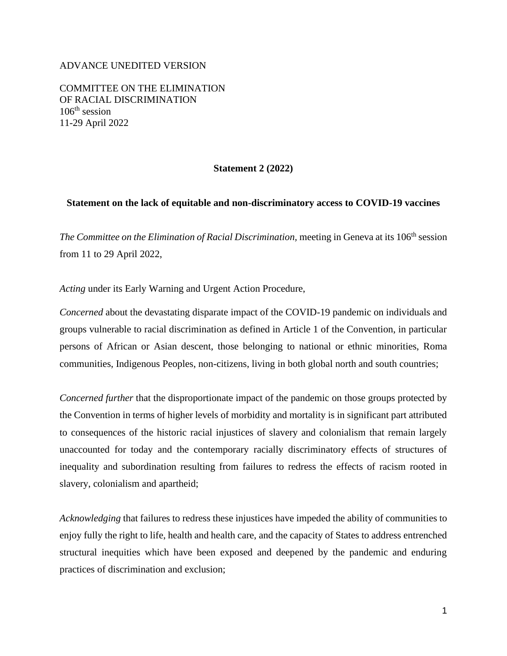## ADVANCE UNEDITED VERSION

COMMITTEE ON THE ELIMINATION OF RACIAL DISCRIMINATION  $106<sup>th</sup>$  session 11-29 April 2022

## **Statement 2 (2022)**

## **Statement on the lack of equitable and non-discriminatory access to COVID-19 vaccines**

*The Committee on the Elimination of Racial Discrimination, meeting in Geneva at its 106<sup>th</sup> session* from 11 to 29 April 2022,

*Acting* under its Early Warning and Urgent Action Procedure,

*Concerned* about the devastating disparate impact of the COVID-19 pandemic on individuals and groups vulnerable to racial discrimination as defined in Article 1 of the Convention, in particular persons of African or Asian descent, those belonging to national or ethnic minorities, Roma communities, Indigenous Peoples, non-citizens, living in both global north and south countries;

*Concerned further* that the disproportionate impact of the pandemic on those groups protected by the Convention in terms of higher levels of morbidity and mortality is in significant part attributed to consequences of the historic racial injustices of slavery and colonialism that remain largely unaccounted for today and the contemporary racially discriminatory effects of structures of inequality and subordination resulting from failures to redress the effects of racism rooted in slavery, colonialism and apartheid;

*Acknowledging* that failures to redress these injustices have impeded the ability of communities to enjoy fully the right to life, health and health care, and the capacity of States to address entrenched structural inequities which have been exposed and deepened by the pandemic and enduring practices of discrimination and exclusion;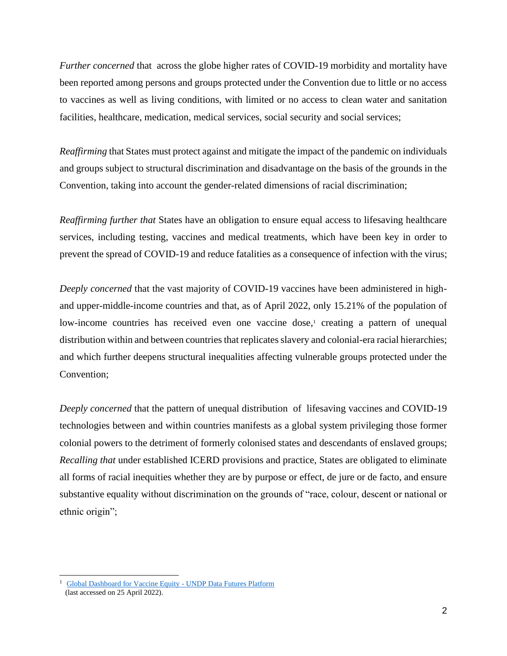*Further concerned* that across the globe higher rates of COVID-19 morbidity and mortality have been reported among persons and groups protected under the Convention due to little or no access to vaccines as well as living conditions, with limited or no access to clean water and sanitation facilities, healthcare, medication, medical services, social security and social services;

*Reaffirming* that States must protect against and mitigate the impact of the pandemic on individuals and groups subject to structural discrimination and disadvantage on the basis of the grounds in the Convention, taking into account the gender-related dimensions of racial discrimination;

*Reaffirming further that* States have an obligation to ensure equal access to lifesaving healthcare services, including testing, vaccines and medical treatments, which have been key in order to prevent the spread of COVID-19 and reduce fatalities as a consequence of infection with the virus;

*Deeply concerned* that the vast majority of COVID-19 vaccines have been administered in highand upper-middle-income countries and that, as of April 2022, only 15.21% of the population of low-income countries has received even one vaccine dose,<sup>1</sup> creating a pattern of unequal distribution within and between countries that replicates slavery and colonial-era racial hierarchies; and which further deepens structural inequalities affecting vulnerable groups protected under the Convention;

*Deeply concerned* that the pattern of unequal distribution of lifesaving vaccines and COVID-19 technologies between and within countries manifests as a global system privileging those former colonial powers to the detriment of formerly colonised states and descendants of enslaved groups; *Recalling that* under established ICERD provisions and practice, States are obligated to eliminate all forms of racial inequities whether they are by purpose or effect, de jure or de facto, and ensure substantive equality without discrimination on the grounds of "race, colour, descent or national or ethnic origin";

<sup>&</sup>lt;sup>1</sup> [Global Dashboard for Vaccine Equity -](https://data.undp.org/vaccine-equity/) UNDP Data Futures Platform (last accessed on 25 April 2022).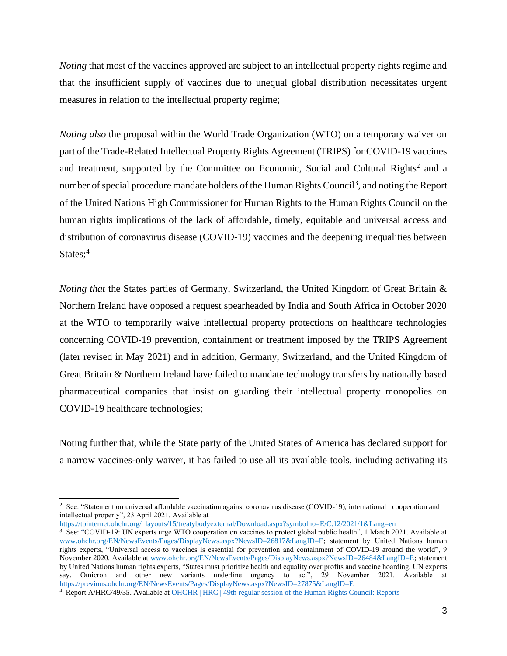*Noting* that most of the vaccines approved are subject to an intellectual property rights regime and that the insufficient supply of vaccines due to unequal global distribution necessitates urgent measures in relation to the intellectual property regime;

*Noting also* the proposal within the World Trade Organization (WTO) on a temporary waiver on part of the Trade-Related Intellectual Property Rights Agreement (TRIPS) for COVID-19 vaccines and treatment, supported by the Committee on Economic, Social and Cultural Rights<sup>2</sup> and a number of special procedure mandate holders of the Human Rights Council<sup>3</sup>, and noting the Report of the United Nations High Commissioner for Human Rights to the Human Rights Council on the human rights implications of the lack of affordable, timely, equitable and universal access and distribution of coronavirus disease (COVID-19) vaccines and the deepening inequalities between States; 4

*Noting that* the States parties of Germany, Switzerland, the United Kingdom of Great Britain & Northern Ireland have opposed a request spearheaded by India and South Africa in October 2020 at the WTO to temporarily waive intellectual property protections on healthcare technologies concerning COVID-19 prevention, containment or treatment imposed by the TRIPS Agreement (later revised in May 2021) and in addition, Germany, Switzerland, and the United Kingdom of Great Britain & Northern Ireland have failed to mandate technology transfers by nationally based pharmaceutical companies that insist on guarding their intellectual property monopolies on COVID-19 healthcare technologies;

Noting further that, while the State party of the United States of America has declared support for a narrow vaccines-only waiver, it has failed to use all its available tools, including activating its

[https://tbinternet.ohchr.org/\\_layouts/15/treatybodyexternal/Download.aspx?symbolno=E/C.12/2021/1&Lang=en](https://tbinternet.ohchr.org/_layouts/15/treatybodyexternal/Download.aspx?symbolno=E/C.12/2021/1&Lang=en)

<sup>2</sup> See: "Statement on universal affordable vaccination against coronavirus disease (COVID-19), international cooperation and intellectual property", 23 April 2021. Available at

 $3$  See: "COVID-19: UN experts urge WTO cooperation on vaccines to protect global public health", 1 March 2021. Available at [www.ohchr.org/EN/NewsEvents/Pages/DisplayNews.aspx?NewsID=26817&LangID=E;](https://unitednations-my.sharepoint.com/personal/philippa_fletcher_un_org/Documents/Documents/CURRENT%20DOX/www.ohchr.org/EN/NewsEvents/Pages/DisplayNews.aspx?NewsID=26817&LangID=E) statement by United Nations human rights experts, "Universal access to vaccines is essential for prevention and containment of COVID-19 around the world", 9 November 2020. Available at [www.ohchr.org/EN/NewsEvents/Pages/DisplayNews.aspx?NewsID=26484&LangID=E;](https://unitednations-my.sharepoint.com/personal/philippa_fletcher_un_org/Documents/Documents/CURRENT%20DOX/www.ohchr.org/EN/NewsEvents/Pages/DisplayNews.aspx?NewsID=26484&LangID=E) statement by United Nations human rights experts, "States must prioritize health and equality over profits and vaccine hoarding, UN experts say. Omicron and other new variants underline urgency to act", 29 November 2021. Available at <https://previous.ohchr.org/EN/NewsEvents/Pages/DisplayNews.aspx?NewsID=27875&LangID=E>

<sup>4</sup> Report A/HRC/49/35. Available at [OHCHR | HRC | 49th regular session of the Human Rights Council: Reports](https://www.ohchr.org/en/hr-bodies/hrc/regular-sessions/session49/list-reports)